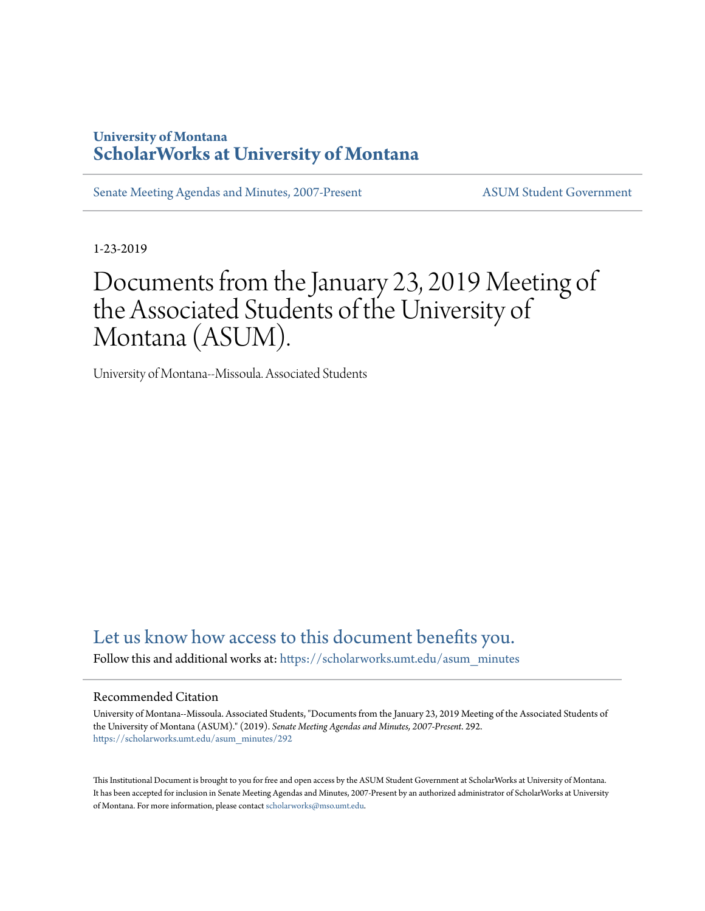## **University of Montana [ScholarWorks at University of Montana](https://scholarworks.umt.edu?utm_source=scholarworks.umt.edu%2Fasum_minutes%2F292&utm_medium=PDF&utm_campaign=PDFCoverPages)**

[Senate Meeting Agendas and Minutes, 2007-Present](https://scholarworks.umt.edu/asum_minutes?utm_source=scholarworks.umt.edu%2Fasum_minutes%2F292&utm_medium=PDF&utm_campaign=PDFCoverPages) [ASUM Student Government](https://scholarworks.umt.edu/student_government?utm_source=scholarworks.umt.edu%2Fasum_minutes%2F292&utm_medium=PDF&utm_campaign=PDFCoverPages)

1-23-2019

# Documents from the January 23, 2019 Meeting of the Associated Students of the University of Montana (ASUM).

University of Montana--Missoula. Associated Students

## [Let us know how access to this document benefits you.](https://goo.gl/forms/s2rGfXOLzz71qgsB2)

Follow this and additional works at: [https://scholarworks.umt.edu/asum\\_minutes](https://scholarworks.umt.edu/asum_minutes?utm_source=scholarworks.umt.edu%2Fasum_minutes%2F292&utm_medium=PDF&utm_campaign=PDFCoverPages)

#### Recommended Citation

University of Montana--Missoula. Associated Students, "Documents from the January 23, 2019 Meeting of the Associated Students of the University of Montana (ASUM)." (2019). *Senate Meeting Agendas and Minutes, 2007-Present*. 292. [https://scholarworks.umt.edu/asum\\_minutes/292](https://scholarworks.umt.edu/asum_minutes/292?utm_source=scholarworks.umt.edu%2Fasum_minutes%2F292&utm_medium=PDF&utm_campaign=PDFCoverPages)

This Institutional Document is brought to you for free and open access by the ASUM Student Government at ScholarWorks at University of Montana. It has been accepted for inclusion in Senate Meeting Agendas and Minutes, 2007-Present by an authorized administrator of ScholarWorks at University of Montana. For more information, please contact [scholarworks@mso.umt.edu](mailto:scholarworks@mso.umt.edu).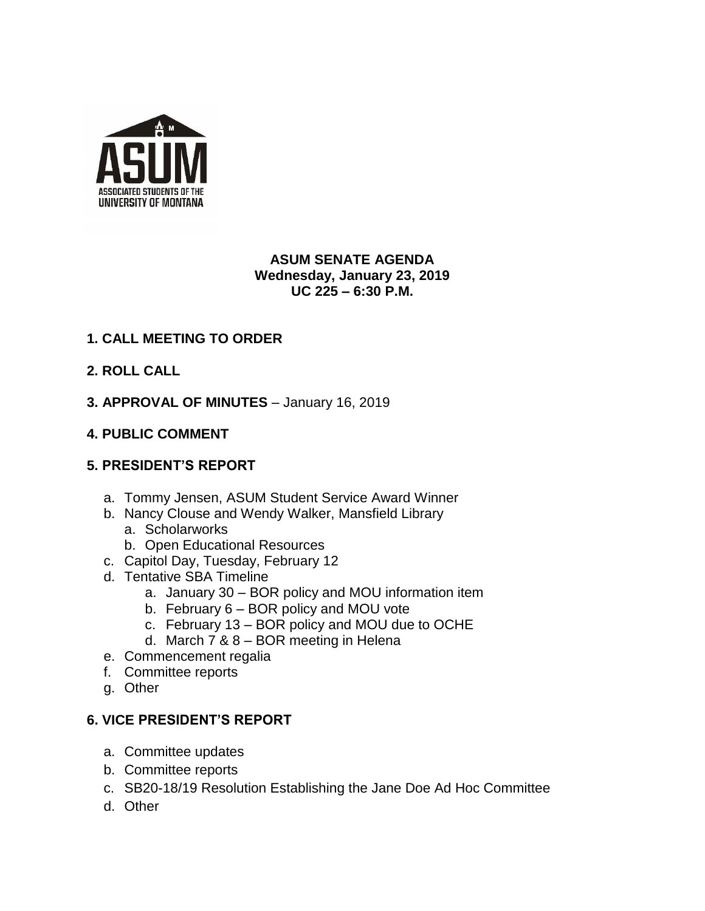

#### **ASUM SENATE AGENDA Wednesday, January 23, 2019 UC 225 – 6:30 P.M.**

## **1. CALL MEETING TO ORDER**

- **2. ROLL CALL**
- **3. APPROVAL OF MINUTES**  January 16, 2019

#### **4. PUBLIC COMMENT**

#### **5. PRESIDENT'S REPORT**

- a. Tommy Jensen, ASUM Student Service Award Winner
- b. Nancy Clouse and Wendy Walker, Mansfield Library a. Scholarworks
	- b. Open Educational Resources
- c. Capitol Day, Tuesday, February 12
- d. Tentative SBA Timeline
	- a. January 30 BOR policy and MOU information item
	- b. February 6 BOR policy and MOU vote
	- c. February 13 BOR policy and MOU due to OCHE
	- d. March 7 & 8 BOR meeting in Helena
- e. Commencement regalia
- f. Committee reports
- g. Other

#### **6. VICE PRESIDENT'S REPORT**

- a. Committee updates
- b. Committee reports
- c. SB20-18/19 Resolution Establishing the Jane Doe Ad Hoc Committee
- d. Other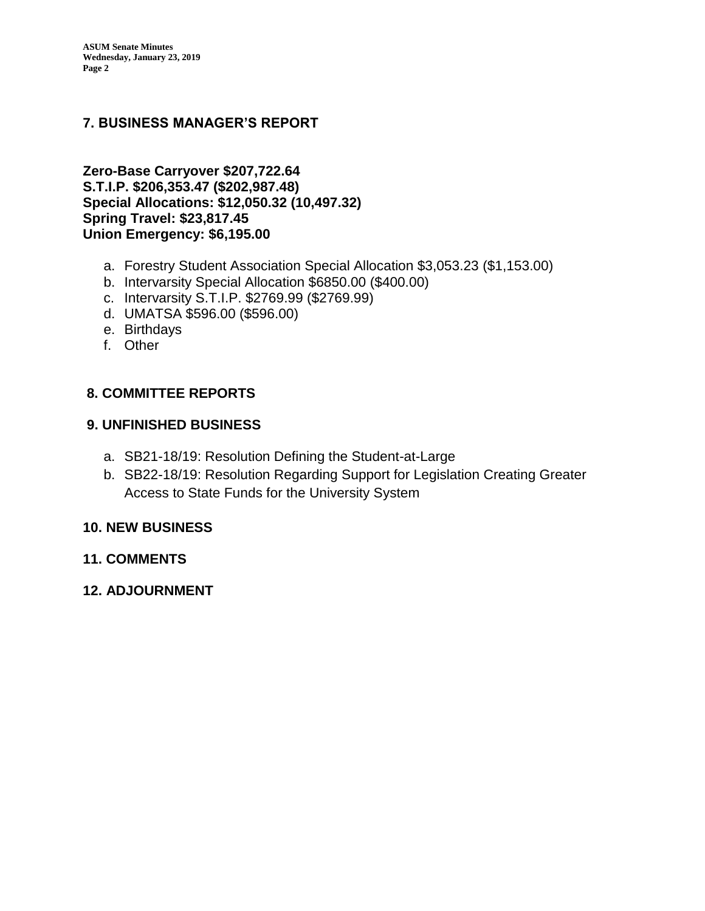### **7. BUSINESS MANAGER'S REPORT**

**Zero-Base Carryover \$207,722.64 S.T.I.P. \$206,353.47 (\$202,987.48) Special Allocations: \$12,050.32 (10,497.32) Spring Travel: \$23,817.45 Union Emergency: \$6,195.00**

- a. Forestry Student Association Special Allocation \$3,053.23 (\$1,153.00)
- b. Intervarsity Special Allocation \$6850.00 (\$400.00)
- c. Intervarsity S.T.I.P. \$2769.99 (\$2769.99)
- d. UMATSA \$596.00 (\$596.00)
- e. Birthdays
- f. Other

#### **8. COMMITTEE REPORTS**

#### **9. UNFINISHED BUSINESS**

- a. SB21-18/19: Resolution Defining the Student-at-Large
- b. SB22-18/19: Resolution Regarding Support for Legislation Creating Greater Access to State Funds for the University System

#### **10. NEW BUSINESS**

#### **11. COMMENTS**

**12. ADJOURNMENT**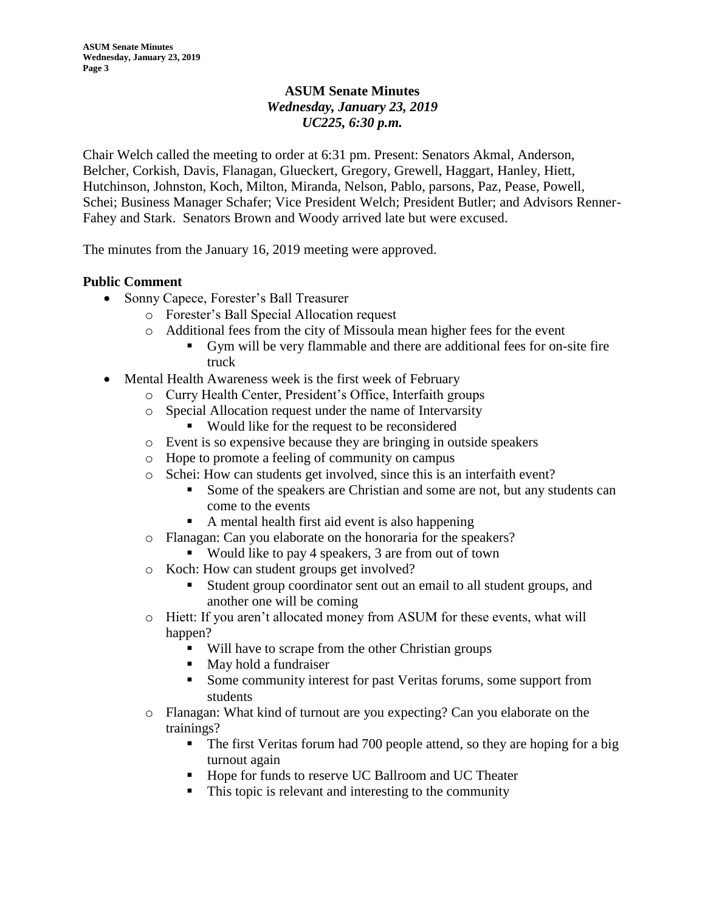#### **ASUM Senate Minutes** *Wednesday, January 23, 2019 UC225, 6:30 p.m.*

Chair Welch called the meeting to order at 6:31 pm. Present: Senators Akmal, Anderson, Belcher, Corkish, Davis, Flanagan, Glueckert, Gregory, Grewell, Haggart, Hanley, Hiett, Hutchinson, Johnston, Koch, Milton, Miranda, Nelson, Pablo, parsons, Paz, Pease, Powell, Schei; Business Manager Schafer; Vice President Welch; President Butler; and Advisors Renner-Fahey and Stark. Senators Brown and Woody arrived late but were excused.

The minutes from the January 16, 2019 meeting were approved.

#### **Public Comment**

- Sonny Capece, Forester's Ball Treasurer
	- o Forester's Ball Special Allocation request
	- o Additional fees from the city of Missoula mean higher fees for the event
		- Gym will be very flammable and there are additional fees for on-site fire truck
- Mental Health Awareness week is the first week of February
	- o Curry Health Center, President's Office, Interfaith groups
	- o Special Allocation request under the name of Intervarsity
		- Would like for the request to be reconsidered
	- o Event is so expensive because they are bringing in outside speakers
	- o Hope to promote a feeling of community on campus
	- o Schei: How can students get involved, since this is an interfaith event?
		- Some of the speakers are Christian and some are not, but any students can come to the events
		- A mental health first aid event is also happening
	- o Flanagan: Can you elaborate on the honoraria for the speakers?
		- Would like to pay 4 speakers, 3 are from out of town
	- o Koch: How can student groups get involved?
		- Student group coordinator sent out an email to all student groups, and another one will be coming
	- o Hiett: If you aren't allocated money from ASUM for these events, what will happen?
		- Will have to scrape from the other Christian groups
		- May hold a fundraiser
		- Some community interest for past Veritas forums, some support from students
	- o Flanagan: What kind of turnout are you expecting? Can you elaborate on the trainings?
		- The first Veritas forum had 700 people attend, so they are hoping for a big turnout again
		- Hope for funds to reserve UC Ballroom and UC Theater
		- This topic is relevant and interesting to the community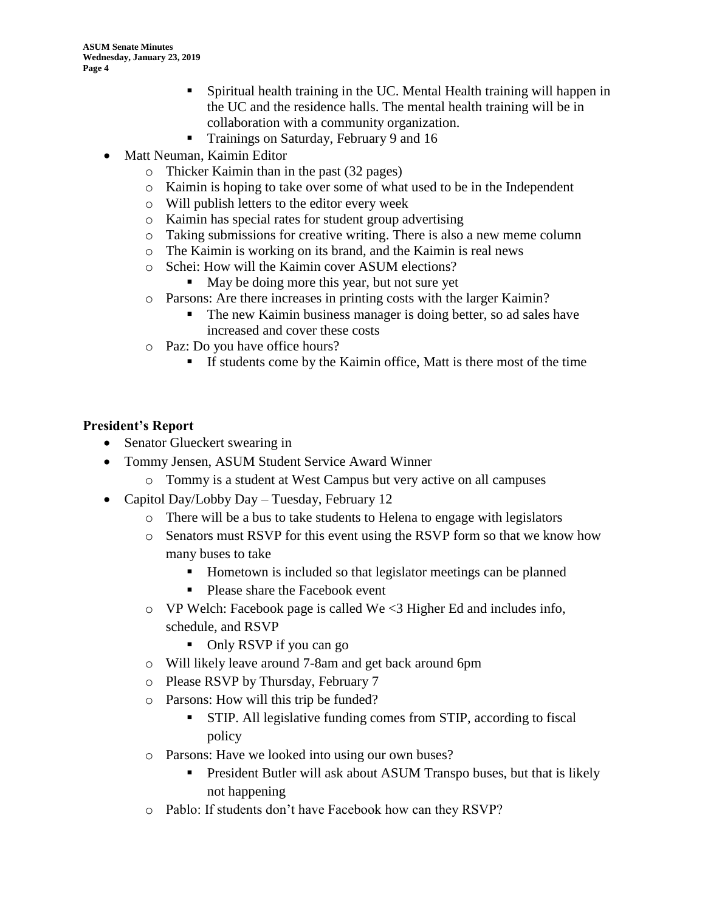- Spiritual health training in the UC. Mental Health training will happen in the UC and the residence halls. The mental health training will be in collaboration with a community organization.
- Trainings on Saturday, February 9 and 16
- Matt Neuman, Kaimin Editor
	- o Thicker Kaimin than in the past (32 pages)
	- o Kaimin is hoping to take over some of what used to be in the Independent
	- o Will publish letters to the editor every week
	- o Kaimin has special rates for student group advertising
	- o Taking submissions for creative writing. There is also a new meme column
	- o The Kaimin is working on its brand, and the Kaimin is real news
	- o Schei: How will the Kaimin cover ASUM elections?
		- May be doing more this year, but not sure yet
	- o Parsons: Are there increases in printing costs with the larger Kaimin?
		- The new Kaimin business manager is doing better, so ad sales have increased and cover these costs
	- o Paz: Do you have office hours?
		- **If students come by the Kaimin office, Matt is there most of the time**

#### **President's Report**

- Senator Glueckert swearing in
- Tommy Jensen, ASUM Student Service Award Winner
	- o Tommy is a student at West Campus but very active on all campuses
- Capitol Day/Lobby Day Tuesday, February 12
	- o There will be a bus to take students to Helena to engage with legislators
	- o Senators must RSVP for this event using the RSVP form so that we know how many buses to take
		- Hometown is included so that legislator meetings can be planned
		- Please share the Facebook event
	- $\circ$  VP Welch: Facebook page is called We <3 Higher Ed and includes info, schedule, and RSVP
		- Only RSVP if you can go
	- o Will likely leave around 7-8am and get back around 6pm
	- o Please RSVP by Thursday, February 7
	- o Parsons: How will this trip be funded?
		- **EXTIP.** All legislative funding comes from STIP, according to fiscal policy
	- o Parsons: Have we looked into using our own buses?
		- **•** President Butler will ask about ASUM Transpo buses, but that is likely not happening
	- o Pablo: If students don't have Facebook how can they RSVP?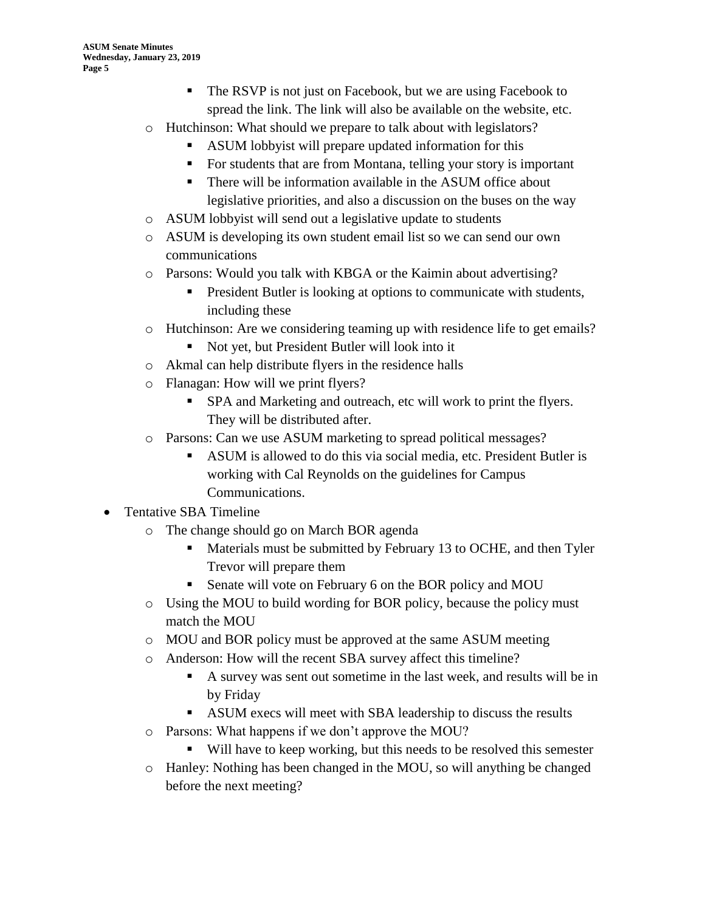- The RSVP is not just on Facebook, but we are using Facebook to spread the link. The link will also be available on the website, etc.
- o Hutchinson: What should we prepare to talk about with legislators?
	- ASUM lobbyist will prepare updated information for this
	- For students that are from Montana, telling your story is important
	- There will be information available in the ASUM office about legislative priorities, and also a discussion on the buses on the way
- o ASUM lobbyist will send out a legislative update to students
- o ASUM is developing its own student email list so we can send our own communications
- o Parsons: Would you talk with KBGA or the Kaimin about advertising?
	- President Butler is looking at options to communicate with students, including these
- o Hutchinson: Are we considering teaming up with residence life to get emails?
	- Not yet, but President Butler will look into it
- o Akmal can help distribute flyers in the residence halls
- o Flanagan: How will we print flyers?
	- SPA and Marketing and outreach, etc will work to print the flyers. They will be distributed after.
- o Parsons: Can we use ASUM marketing to spread political messages?
	- ASUM is allowed to do this via social media, etc. President Butler is working with Cal Reynolds on the guidelines for Campus Communications.

### • Tentative SBA Timeline

- o The change should go on March BOR agenda
	- Materials must be submitted by February 13 to OCHE, and then Tyler Trevor will prepare them
	- Senate will vote on February 6 on the BOR policy and MOU
- o Using the MOU to build wording for BOR policy, because the policy must match the MOU
- o MOU and BOR policy must be approved at the same ASUM meeting
- o Anderson: How will the recent SBA survey affect this timeline?
	- A survey was sent out sometime in the last week, and results will be in by Friday
	- ASUM execs will meet with SBA leadership to discuss the results
- o Parsons: What happens if we don't approve the MOU?
	- Will have to keep working, but this needs to be resolved this semester
- o Hanley: Nothing has been changed in the MOU, so will anything be changed before the next meeting?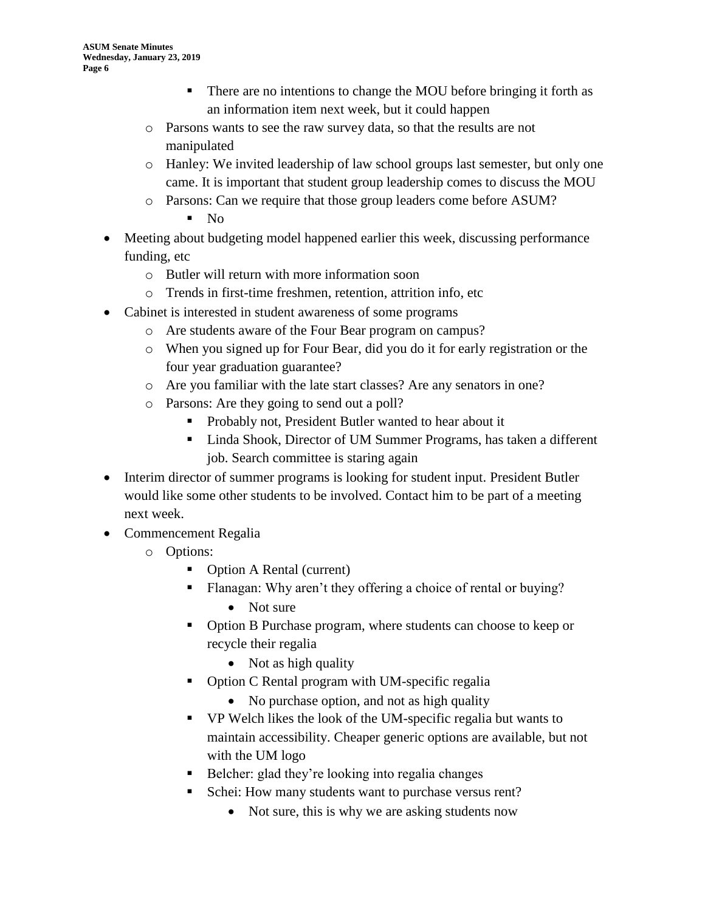- There are no intentions to change the MOU before bringing it forth as an information item next week, but it could happen
- o Parsons wants to see the raw survey data, so that the results are not manipulated
- o Hanley: We invited leadership of law school groups last semester, but only one came. It is important that student group leadership comes to discuss the MOU
- o Parsons: Can we require that those group leaders come before ASUM?
	- $\blacksquare$  No
- Meeting about budgeting model happened earlier this week, discussing performance funding, etc
	- o Butler will return with more information soon
	- o Trends in first-time freshmen, retention, attrition info, etc
- Cabinet is interested in student awareness of some programs
	- o Are students aware of the Four Bear program on campus?
	- o When you signed up for Four Bear, did you do it for early registration or the four year graduation guarantee?
	- o Are you familiar with the late start classes? Are any senators in one?
	- o Parsons: Are they going to send out a poll?
		- Probably not, President Butler wanted to hear about it
		- Linda Shook, Director of UM Summer Programs, has taken a different job. Search committee is staring again
- Interim director of summer programs is looking for student input. President Butler would like some other students to be involved. Contact him to be part of a meeting next week.
- Commencement Regalia
	- o Options:
		- Option A Rental (current)
		- Flanagan: Why aren't they offering a choice of rental or buying?
			- Not sure
		- Option B Purchase program, where students can choose to keep or recycle their regalia
			- Not as high quality
		- Option C Rental program with UM-specific regalia
			- No purchase option, and not as high quality
		- VP Welch likes the look of the UM-specific regalia but wants to maintain accessibility. Cheaper generic options are available, but not with the UM logo
		- Belcher: glad they're looking into regalia changes
		- Schei: How many students want to purchase versus rent?
			- Not sure, this is why we are asking students now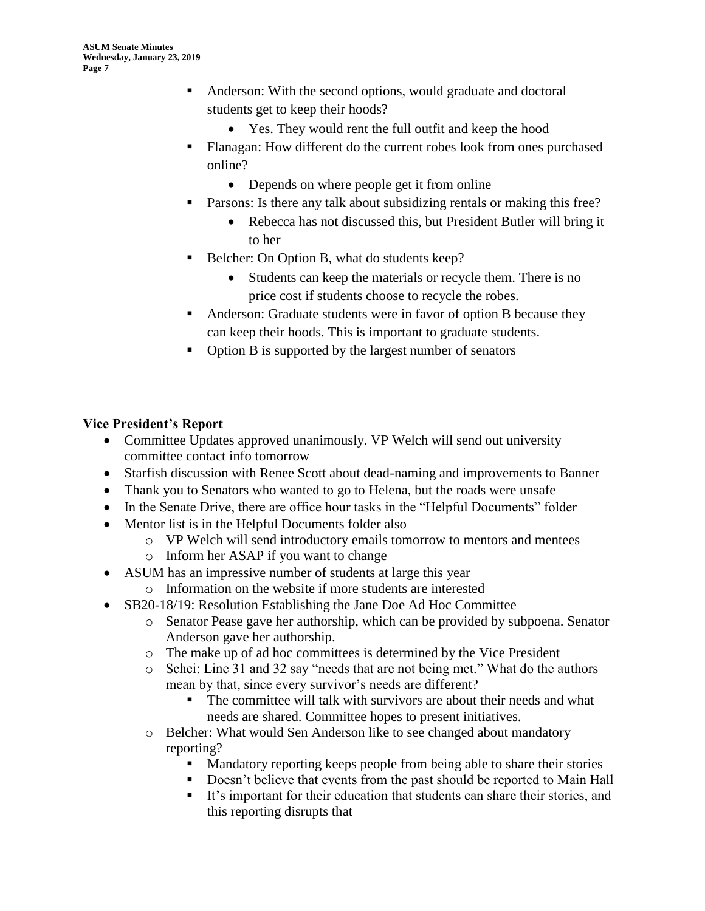- Anderson: With the second options, would graduate and doctoral students get to keep their hoods?
	- Yes. They would rent the full outfit and keep the hood
- Flanagan: How different do the current robes look from ones purchased online?
	- Depends on where people get it from online
- Parsons: Is there any talk about subsidizing rentals or making this free?
	- Rebecca has not discussed this, but President Butler will bring it to her
- Belcher: On Option B, what do students keep?
	- Students can keep the materials or recycle them. There is no price cost if students choose to recycle the robes.
- Anderson: Graduate students were in favor of option B because they can keep their hoods. This is important to graduate students.
- Option B is supported by the largest number of senators

#### **Vice President's Report**

- Committee Updates approved unanimously. VP Welch will send out university committee contact info tomorrow
- Starfish discussion with Renee Scott about dead-naming and improvements to Banner
- Thank you to Senators who wanted to go to Helena, but the roads were unsafe
- In the Senate Drive, there are office hour tasks in the "Helpful Documents" folder
- Mentor list is in the Helpful Documents folder also
	- o VP Welch will send introductory emails tomorrow to mentors and mentees
	- o Inform her ASAP if you want to change
- ASUM has an impressive number of students at large this year
	- o Information on the website if more students are interested
	- SB20-18/19: Resolution Establishing the Jane Doe Ad Hoc Committee
		- o Senator Pease gave her authorship, which can be provided by subpoena. Senator Anderson gave her authorship.
		- o The make up of ad hoc committees is determined by the Vice President
		- o Schei: Line 31 and 32 say "needs that are not being met." What do the authors mean by that, since every survivor's needs are different?
			- The committee will talk with survivors are about their needs and what needs are shared. Committee hopes to present initiatives.
		- o Belcher: What would Sen Anderson like to see changed about mandatory reporting?
			- Mandatory reporting keeps people from being able to share their stories
			- Doesn't believe that events from the past should be reported to Main Hall
			- It's important for their education that students can share their stories, and this reporting disrupts that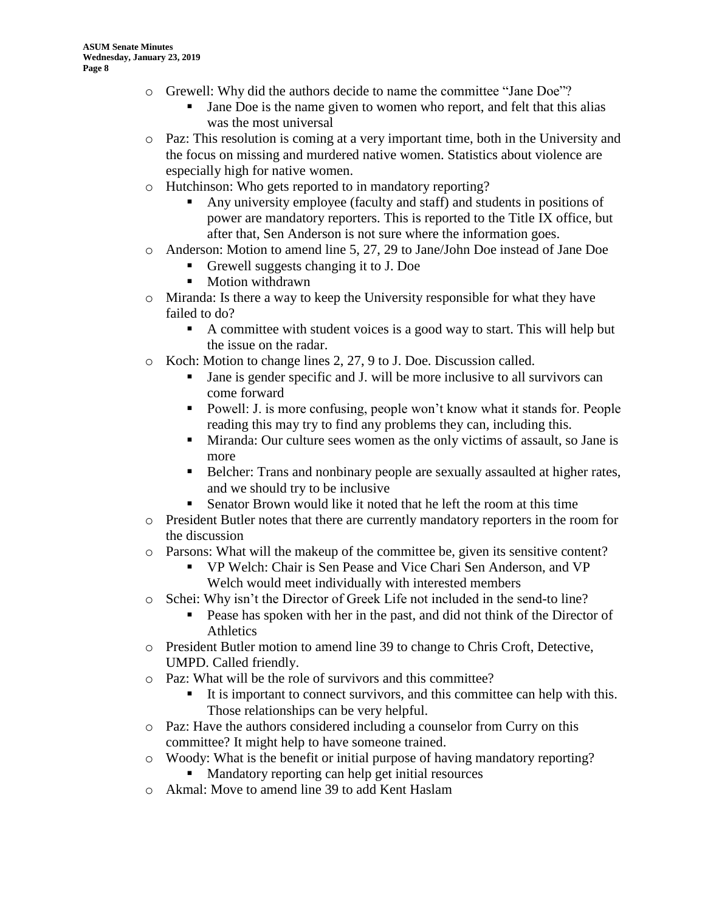- o Grewell: Why did the authors decide to name the committee "Jane Doe"?
	- Jane Doe is the name given to women who report, and felt that this alias was the most universal
- o Paz: This resolution is coming at a very important time, both in the University and the focus on missing and murdered native women. Statistics about violence are especially high for native women.
- o Hutchinson: Who gets reported to in mandatory reporting?
	- Any university employee (faculty and staff) and students in positions of power are mandatory reporters. This is reported to the Title IX office, but after that, Sen Anderson is not sure where the information goes.
- o Anderson: Motion to amend line 5, 27, 29 to Jane/John Doe instead of Jane Doe
	- Grewell suggests changing it to J. Doe
	- Motion withdrawn
- o Miranda: Is there a way to keep the University responsible for what they have failed to do?
	- A committee with student voices is a good way to start. This will help but the issue on the radar.
- o Koch: Motion to change lines 2, 27, 9 to J. Doe. Discussion called.
	- Jane is gender specific and J. will be more inclusive to all survivors can come forward
	- Powell: J. is more confusing, people won't know what it stands for. People reading this may try to find any problems they can, including this.
	- **EXECUTE:** Miranda: Our culture sees women as the only victims of assault, so Jane is more
	- **•** Belcher: Trans and nonbinary people are sexually assaulted at higher rates, and we should try to be inclusive
	- Senator Brown would like it noted that he left the room at this time
- o President Butler notes that there are currently mandatory reporters in the room for the discussion
- o Parsons: What will the makeup of the committee be, given its sensitive content?
	- VP Welch: Chair is Sen Pease and Vice Chari Sen Anderson, and VP Welch would meet individually with interested members
- o Schei: Why isn't the Director of Greek Life not included in the send-to line?
	- **•** Pease has spoken with her in the past, and did not think of the Director of **Athletics**
- o President Butler motion to amend line 39 to change to Chris Croft, Detective, UMPD. Called friendly.
- o Paz: What will be the role of survivors and this committee?
	- It is important to connect survivors, and this committee can help with this. Those relationships can be very helpful.
- o Paz: Have the authors considered including a counselor from Curry on this committee? It might help to have someone trained.
- o Woody: What is the benefit or initial purpose of having mandatory reporting? ■ Mandatory reporting can help get initial resources
- o Akmal: Move to amend line 39 to add Kent Haslam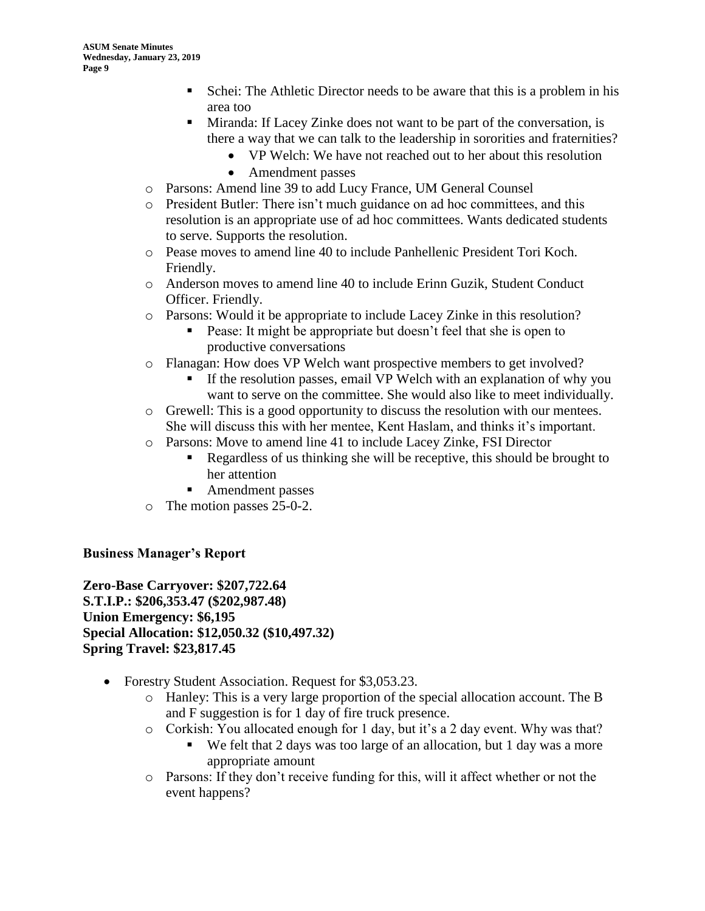- Schei: The Athletic Director needs to be aware that this is a problem in his area too
- Miranda: If Lacey Zinke does not want to be part of the conversation, is there a way that we can talk to the leadership in sororities and fraternities?
	- VP Welch: We have not reached out to her about this resolution
	- Amendment passes
- o Parsons: Amend line 39 to add Lucy France, UM General Counsel
- o President Butler: There isn't much guidance on ad hoc committees, and this resolution is an appropriate use of ad hoc committees. Wants dedicated students to serve. Supports the resolution.
- o Pease moves to amend line 40 to include Panhellenic President Tori Koch. Friendly.
- o Anderson moves to amend line 40 to include Erinn Guzik, Student Conduct Officer. Friendly.
- o Parsons: Would it be appropriate to include Lacey Zinke in this resolution?
	- Pease: It might be appropriate but doesn't feel that she is open to productive conversations
- o Flanagan: How does VP Welch want prospective members to get involved?
	- If the resolution passes, email VP Welch with an explanation of why you want to serve on the committee. She would also like to meet individually.
- o Grewell: This is a good opportunity to discuss the resolution with our mentees. She will discuss this with her mentee, Kent Haslam, and thinks it's important.
- o Parsons: Move to amend line 41 to include Lacey Zinke, FSI Director
	- Regardless of us thinking she will be receptive, this should be brought to her attention
	- Amendment passes
- o The motion passes 25-0-2.

#### **Business Manager's Report**

**Zero-Base Carryover: \$207,722.64 S.T.I.P.: \$206,353.47 (\$202,987.48) Union Emergency: \$6,195 Special Allocation: \$12,050.32 (\$10,497.32) Spring Travel: \$23,817.45**

- Forestry Student Association. Request for \$3,053.23.
	- o Hanley: This is a very large proportion of the special allocation account. The B and F suggestion is for 1 day of fire truck presence.
	- o Corkish: You allocated enough for 1 day, but it's a 2 day event. Why was that?
		- We felt that 2 days was too large of an allocation, but 1 day was a more appropriate amount
	- o Parsons: If they don't receive funding for this, will it affect whether or not the event happens?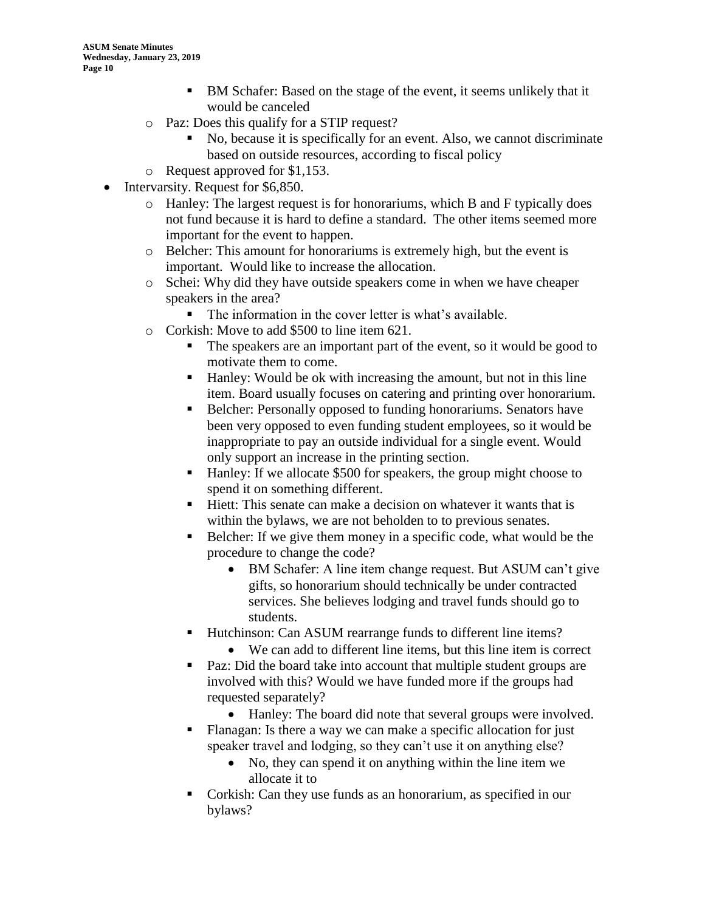- BM Schafer: Based on the stage of the event, it seems unlikely that it would be canceled
- o Paz: Does this qualify for a STIP request?
	- No, because it is specifically for an event. Also, we cannot discriminate based on outside resources, according to fiscal policy
- o Request approved for \$1,153.
- Intervarsity. Request for \$6,850.
	- o Hanley: The largest request is for honorariums, which B and F typically does not fund because it is hard to define a standard. The other items seemed more important for the event to happen.
	- o Belcher: This amount for honorariums is extremely high, but the event is important. Would like to increase the allocation.
	- o Schei: Why did they have outside speakers come in when we have cheaper speakers in the area?
		- The information in the cover letter is what's available.
	- o Corkish: Move to add \$500 to line item 621.
		- The speakers are an important part of the event, so it would be good to motivate them to come.
		- Hanley: Would be ok with increasing the amount, but not in this line item. Board usually focuses on catering and printing over honorarium.
		- Belcher: Personally opposed to funding honorariums. Senators have been very opposed to even funding student employees, so it would be inappropriate to pay an outside individual for a single event. Would only support an increase in the printing section.
		- Hanley: If we allocate \$500 for speakers, the group might choose to spend it on something different.
		- Hiett: This senate can make a decision on whatever it wants that is within the bylaws, we are not beholden to to previous senates.
		- Belcher: If we give them money in a specific code, what would be the procedure to change the code?
			- BM Schafer: A line item change request. But ASUM can't give gifts, so honorarium should technically be under contracted services. She believes lodging and travel funds should go to students.
		- Hutchinson: Can ASUM rearrange funds to different line items?
			- We can add to different line items, but this line item is correct
		- Paz: Did the board take into account that multiple student groups are involved with this? Would we have funded more if the groups had requested separately?
			- Hanley: The board did note that several groups were involved.
		- Flanagan: Is there a way we can make a specific allocation for just speaker travel and lodging, so they can't use it on anything else?
			- No, they can spend it on anything within the line item we allocate it to
		- Corkish: Can they use funds as an honorarium, as specified in our bylaws?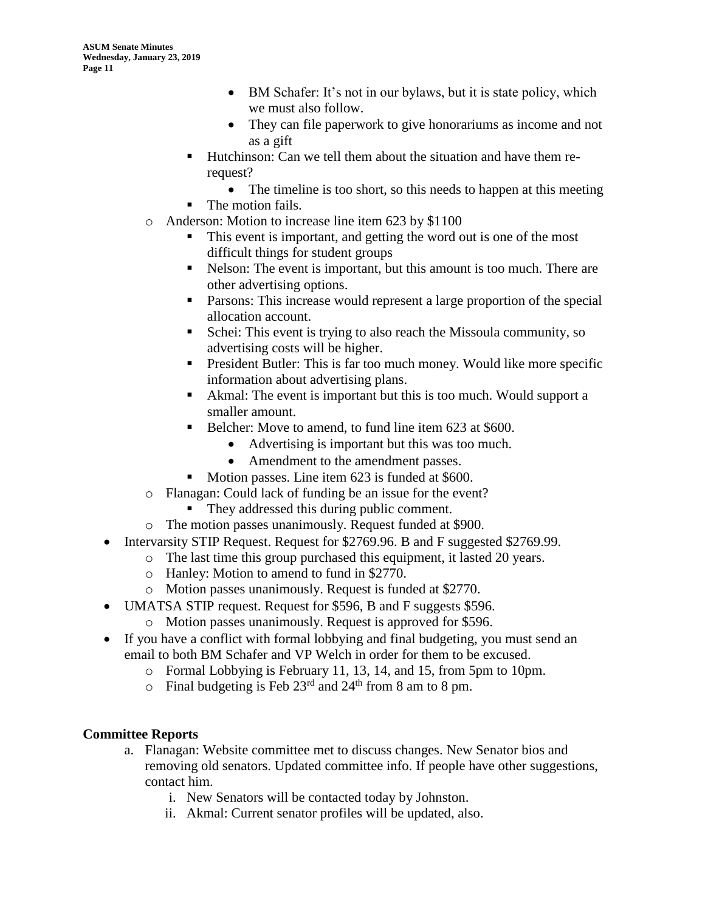- BM Schafer: It's not in our bylaws, but it is state policy, which we must also follow.
- They can file paperwork to give honorariums as income and not as a gift
- Hutchinson: Can we tell them about the situation and have them rerequest?
	- The timeline is too short, so this needs to happen at this meeting The motion fails.
- o Anderson: Motion to increase line item 623 by \$1100
	- This event is important, and getting the word out is one of the most difficult things for student groups
	- Nelson: The event is important, but this amount is too much. There are other advertising options.
	- Parsons: This increase would represent a large proportion of the special allocation account.
	- Schei: This event is trying to also reach the Missoula community, so advertising costs will be higher.
	- President Butler: This is far too much money. Would like more specific information about advertising plans.
	- Akmal: The event is important but this is too much. Would support a smaller amount.
	- Belcher: Move to amend, to fund line item 623 at \$600.
		- Advertising is important but this was too much.
		- Amendment to the amendment passes.
	- Motion passes. Line item 623 is funded at \$600.
	- o Flanagan: Could lack of funding be an issue for the event?
		- They addressed this during public comment.
- o The motion passes unanimously. Request funded at \$900.
- Intervarsity STIP Request. Request for \$2769.96. B and F suggested \$2769.99.
	- o The last time this group purchased this equipment, it lasted 20 years.
		- o Hanley: Motion to amend to fund in \$2770.
		- o Motion passes unanimously. Request is funded at \$2770.
- UMATSA STIP request. Request for \$596, B and F suggests \$596.
	- o Motion passes unanimously. Request is approved for \$596.
- If you have a conflict with formal lobbying and final budgeting, you must send an email to both BM Schafer and VP Welch in order for them to be excused.
	- o Formal Lobbying is February 11, 13, 14, and 15, from 5pm to 10pm.
	- $\circ$  Final budgeting is Feb 23<sup>rd</sup> and 24<sup>th</sup> from 8 am to 8 pm.

### **Committee Reports**

- a. Flanagan: Website committee met to discuss changes. New Senator bios and removing old senators. Updated committee info. If people have other suggestions, contact him.
	- i. New Senators will be contacted today by Johnston.
	- ii. Akmal: Current senator profiles will be updated, also.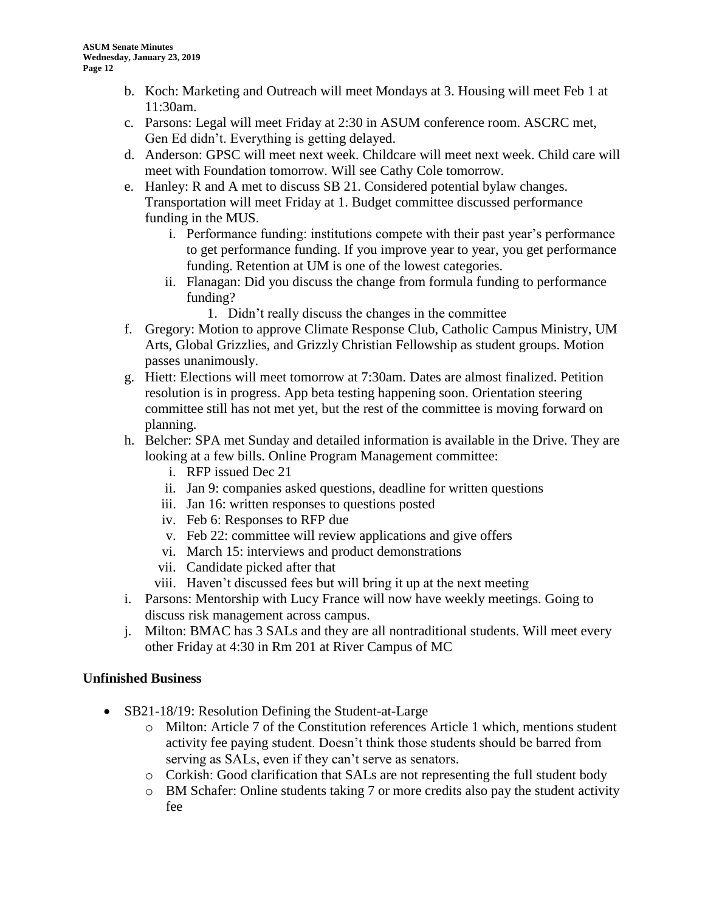- b. Koch: Marketing and Outreach will meet Mondays at 3. Housing will meet Feb 1 at 11:30am.
- c. Parsons: Legal will meet Friday at 2:30 in ASUM conference room. ASCRC met, Gen Ed didn't. Everything is getting delayed.
- d. Anderson: GPSC will meet next week. Childcare will meet next week. Child care will meet with Foundation tomorrow. Will see Cathy Cole tomorrow.
- e. Hanley: R and A met to discuss SB 21. Considered potential bylaw changes. Transportation will meet Friday at 1. Budget committee discussed performance funding in the MUS.
	- i. Performance funding: institutions compete with their past year's performance to get performance funding. If you improve year to year, you get performance funding. Retention at UM is one of the lowest categories.
	- ii. Flanagan: Did you discuss the change from formula funding to performance funding?
		- 1. Didn't really discuss the changes in the committee
- f. Gregory: Motion to approve Climate Response Club, Catholic Campus Ministry, UM Arts, Global Grizzlies, and Grizzly Christian Fellowship as student groups. Motion passes unanimously.
- g. Hiett: Elections will meet tomorrow at 7:30am. Dates are almost finalized. Petition resolution is in progress. App beta testing happening soon. Orientation steering committee still has not met yet, but the rest of the committee is moving forward on planning.
- h. Belcher: SPA met Sunday and detailed information is available in the Drive. They are looking at a few bills. Online Program Management committee:
	- i. RFP issued Dec 21
	- ii. Jan 9: companies asked questions, deadline for written questions
	- iii. Jan 16: written responses to questions posted
	- iv. Feb 6: Responses to RFP due
	- v. Feb 22: committee will review applications and give offers
	- vi. March 15: interviews and product demonstrations
	- vii. Candidate picked after that
	- viii. Haven't discussed fees but will bring it up at the next meeting
- i. Parsons: Mentorship with Lucy France will now have weekly meetings. Going to discuss risk management across campus.
- j. Milton: BMAC has 3 SALs and they are all nontraditional students. Will meet every other Friday at 4:30 in Rm 201 at River Campus of MC

#### **Unfinished Business**

- SB21-18/19: Resolution Defining the Student-at-Large
	- o Milton: Article 7 of the Constitution references Article 1 which, mentions student activity fee paying student. Doesn't think those students should be barred from serving as SALs, even if they can't serve as senators.
	- o Corkish: Good clarification that SALs are not representing the full student body
	- o BM Schafer: Online students taking 7 or more credits also pay the student activity fee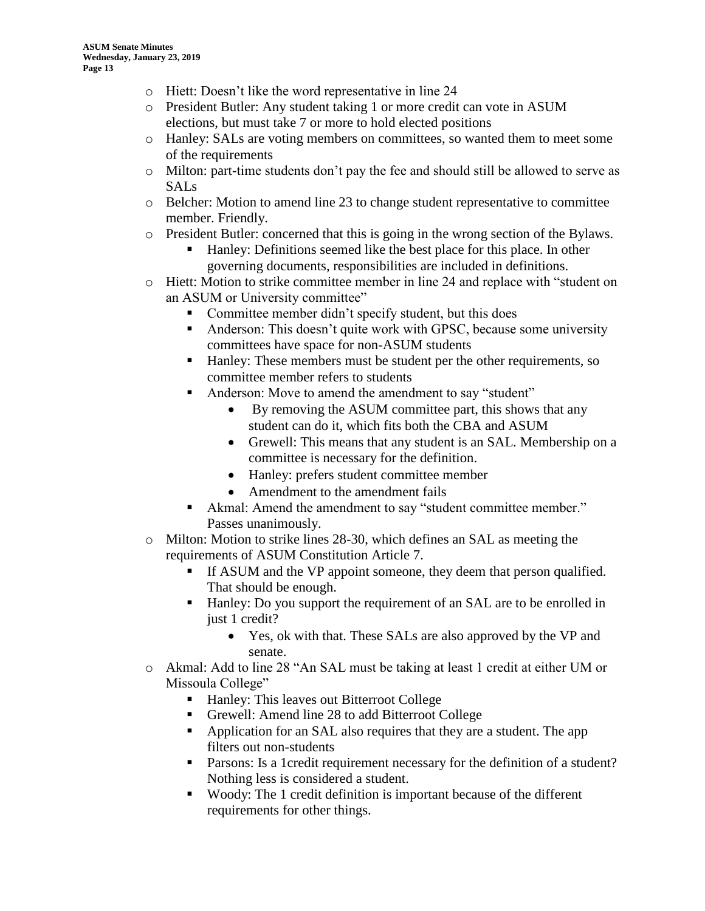- o Hiett: Doesn't like the word representative in line 24
- o President Butler: Any student taking 1 or more credit can vote in ASUM elections, but must take 7 or more to hold elected positions
- o Hanley: SALs are voting members on committees, so wanted them to meet some of the requirements
- o Milton: part-time students don't pay the fee and should still be allowed to serve as SALs
- o Belcher: Motion to amend line 23 to change student representative to committee member. Friendly.
- o President Butler: concerned that this is going in the wrong section of the Bylaws.
	- Hanley: Definitions seemed like the best place for this place. In other governing documents, responsibilities are included in definitions.
- o Hiett: Motion to strike committee member in line 24 and replace with "student on an ASUM or University committee"
	- Committee member didn't specify student, but this does
	- Anderson: This doesn't quite work with GPSC, because some university committees have space for non-ASUM students
	- Hanley: These members must be student per the other requirements, so committee member refers to students
	- Anderson: Move to amend the amendment to say "student"
		- By removing the ASUM committee part, this shows that any student can do it, which fits both the CBA and ASUM
		- Grewell: This means that any student is an SAL. Membership on a committee is necessary for the definition.
		- Hanley: prefers student committee member
		- Amendment to the amendment fails
	- Akmal: Amend the amendment to say "student committee member." Passes unanimously.
- o Milton: Motion to strike lines 28-30, which defines an SAL as meeting the requirements of ASUM Constitution Article 7.
	- If ASUM and the VP appoint someone, they deem that person qualified. That should be enough.
	- Hanley: Do you support the requirement of an SAL are to be enrolled in just 1 credit?
		- Yes, ok with that. These SALs are also approved by the VP and senate.
- o Akmal: Add to line 28 "An SAL must be taking at least 1 credit at either UM or Missoula College"
	- Hanley: This leaves out Bitterroot College
	- Grewell: Amend line 28 to add Bitterroot College
	- Application for an SAL also requires that they are a student. The app filters out non-students
	- Parsons: Is a 1credit requirement necessary for the definition of a student? Nothing less is considered a student.
	- Woody: The 1 credit definition is important because of the different requirements for other things.